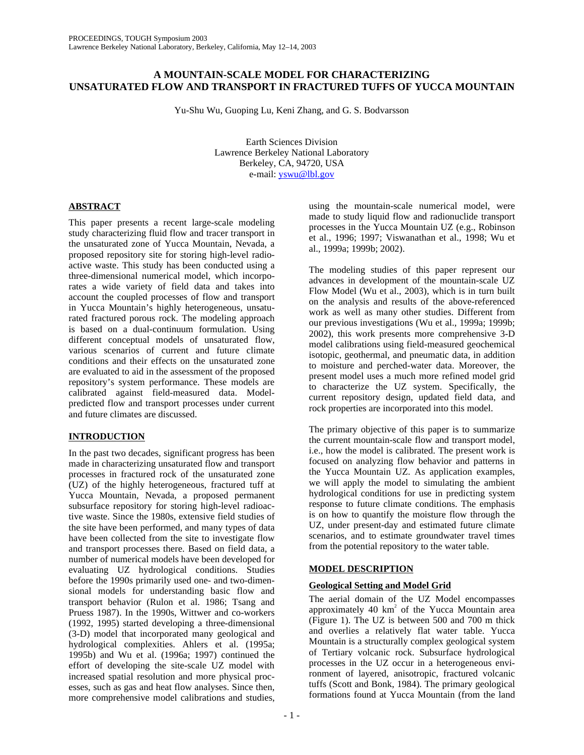# **A MOUNTAIN-SCALE MODEL FOR CHARACTERIZING UNSATURATED FLOW AND TRANSPORT IN FRACTURED TUFFS OF YUCCA MOUNTAIN**

Yu-Shu Wu, Guoping Lu, Keni Zhang, and G. S. Bodvarsson

Earth Sciences Division Lawrence Berkeley National Laboratory Berkeley, CA, 94720, USA e-mail: yswu@lbl.gov

# **ABSTRACT**

This paper presents a recent large-scale modeling study characterizing fluid flow and tracer transport in the unsaturated zone of Yucca Mountain, Nevada, a proposed repository site for storing high-level radioactive waste. This study has been conducted using a three-dimensional numerical model, which incorporates a wide variety of field data and takes into account the coupled processes of flow and transport in Yucca Mountain's highly heterogeneous, unsaturated fractured porous rock. The modeling approach is based on a dual-continuum formulation. Using different conceptual models of unsaturated flow, various scenarios of current and future climate conditions and their effects on the unsaturated zone are evaluated to aid in the assessment of the proposed repository's system performance. These models are calibrated against field-measured data. Modelpredicted flow and transport processes under current and future climates are discussed.

# **INTRODUCTION**

In the past two decades, significant progress has been made in characterizing unsaturated flow and transport processes in fractured rock of the unsaturated zone (UZ) of the highly heterogeneous, fractured tuff at Yucca Mountain, Nevada, a proposed permanent subsurface repository for storing high-level radioactive waste. Since the 1980s, extensive field studies of the site have been performed, and many types of data have been collected from the site to investigate flow and transport processes there. Based on field data, a number of numerical models have been developed for evaluating UZ hydrological conditions. Studies before the 1990s primarily used one- and two-dimensional models for understanding basic flow and transport behavior (Rulon et al. 1986; Tsang and Pruess 1987). In the 1990s, Wittwer and co-workers (1992, 1995) started developing a three-dimensional (3-D) model that incorporated many geological and hydrological complexities. Ahlers et al. (1995a; 1995b) and Wu et al. (1996a; 1997) continued the effort of developing the site-scale UZ model with increased spatial resolution and more physical processes, such as gas and heat flow analyses. Since then, more comprehensive model calibrations and studies,

using the mountain-scale numerical model, were made to study liquid flow and radionuclide transport processes in the Yucca Mountain UZ (e.g., Robinson et al., 1996; 1997; Viswanathan et al., 1998; Wu et al., 1999a; 1999b; 2002).

The modeling studies of this paper represent our advances in development of the mountain-scale UZ Flow Model (Wu et al., 2003), which is in turn built on the analysis and results of the above-referenced work as well as many other studies. Different from our previous investigations (Wu et al., 1999a; 1999b; 2002), this work presents more comprehensive 3-D model calibrations using field-measured geochemical isotopic, geothermal, and pneumatic data, in addition to moisture and perched-water data. Moreover, the present model uses a much more refined model grid to characterize the UZ system. Specifically, the current repository design, updated field data, and rock properties are incorporated into this model.

The primary objective of this paper is to summarize the current mountain-scale flow and transport model, i.e., how the model is calibrated. The present work is focused on analyzing flow behavior and patterns in the Yucca Mountain UZ. As application examples, we will apply the model to simulating the ambient hydrological conditions for use in predicting system response to future climate conditions. The emphasis is on how to quantify the moisture flow through the UZ, under present-day and estimated future climate scenarios, and to estimate groundwater travel times from the potential repository to the water table.

# **MODEL DESCRIPTION**

## **Geological Setting and Model Grid**

The aerial domain of the UZ Model encompasses approximately  $40 \text{ km}^2$  of the Yucca Mountain area (Figure 1). The UZ is between 500 and 700 m thick and overlies a relatively flat water table. Yucca Mountain is a structurally complex geological system of Tertiary volcanic rock. Subsurface hydrological processes in the UZ occur in a heterogeneous environment of layered, anisotropic, fractured volcanic tuffs (Scott and Bonk, 1984). The primary geological formations found at Yucca Mountain (from the land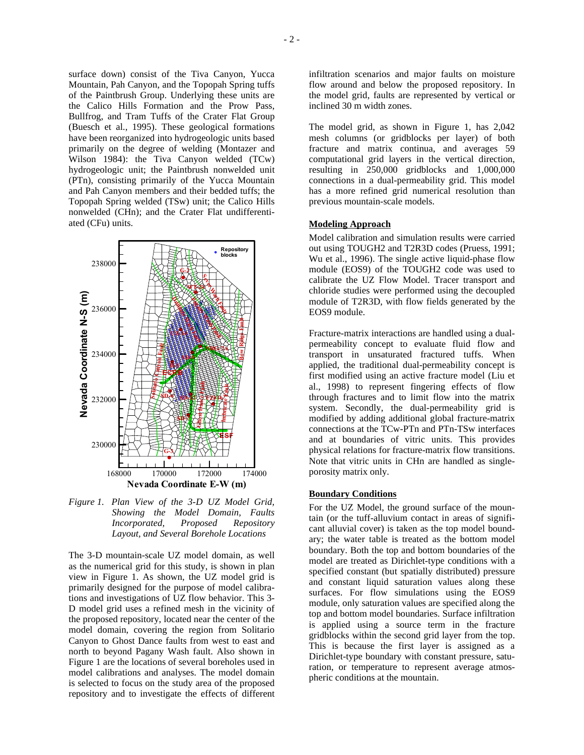surface down) consist of the Tiva Canyon, Yucca Mountain, Pah Canyon, and the Topopah Spring tuffs of the Paintbrush Group. Underlying these units are the Calico Hills Formation and the Prow Pass, Bullfrog, and Tram Tuffs of the Crater Flat Group (Buesch et al., 1995). These geological formations have been reorganized into hydrogeologic units based primarily on the degree of welding (Montazer and Wilson 1984): the Tiva Canyon welded (TCw) hydrogeologic unit; the Paintbrush nonwelded unit (PTn), consisting primarily of the Yucca Mountain and Pah Canyon members and their bedded tuffs; the Topopah Spring welded (TSw) unit; the Calico Hills nonwelded (CHn); and the Crater Flat undifferentiated (CFu) units.



*Figure 1. Plan View of the 3-D UZ Model Grid, Showing the Model Domain, Faults Incorporated, Proposed Repository Layout, and Several Borehole Locations* 

The 3-D mountain-scale UZ model domain, as well as the numerical grid for this study, is shown in plan view in Figure 1. As shown, the UZ model grid is primarily designed for the purpose of model calibrations and investigations of UZ flow behavior. This 3- D model grid uses a refined mesh in the vicinity of the proposed repository, located near the center of the model domain, covering the region from Solitario Canyon to Ghost Dance faults from west to east and north to beyond Pagany Wash fault. Also shown in Figure 1 are the locations of several boreholes used in model calibrations and analyses. The model domain is selected to focus on the study area of the proposed repository and to investigate the effects of different

The model grid, as shown in Figure 1, has 2,042 mesh columns (or gridblocks per layer) of both fracture and matrix continua, and averages 59 computational grid layers in the vertical direction, resulting in 250,000 gridblocks and 1,000,000 connections in a dual-permeability grid. This model has a more refined grid numerical resolution than previous mountain-scale models.

#### **Modeling Approach**

inclined 30 m width zones.

Model calibration and simulation results were carried out using TOUGH2 and T2R3D codes (Pruess, 1991; Wu et al., 1996). The single active liquid-phase flow module (EOS9) of the TOUGH2 code was used to calibrate the UZ Flow Model. Tracer transport and chloride studies were performed using the decoupled module of T2R3D, with flow fields generated by the EOS9 module.

Fracture-matrix interactions are handled using a dualpermeability concept to evaluate fluid flow and transport in unsaturated fractured tuffs. When applied, the traditional dual-permeability concept is first modified using an active fracture model (Liu et al., 1998) to represent fingering effects of flow through fractures and to limit flow into the matrix system. Secondly, the dual-permeability grid is modified by adding additional global fracture-matrix connections at the TCw-PTn and PTn-TSw interfaces and at boundaries of vitric units. This provides physical relations for fracture-matrix flow transitions. Note that vitric units in CHn are handled as singleporosity matrix only.

#### **Boundary Conditions**

For the UZ Model, the ground surface of the mountain (or the tuff-alluvium contact in areas of significant alluvial cover) is taken as the top model boundary; the water table is treated as the bottom model boundary. Both the top and bottom boundaries of the model are treated as Dirichlet-type conditions with a specified constant (but spatially distributed) pressure and constant liquid saturation values along these surfaces. For flow simulations using the EOS9 module, only saturation values are specified along the top and bottom model boundaries. Surface infiltration is applied using a source term in the fracture gridblocks within the second grid layer from the top. This is because the first layer is assigned as a Dirichlet-type boundary with constant pressure, saturation, or temperature to represent average atmospheric conditions at the mountain.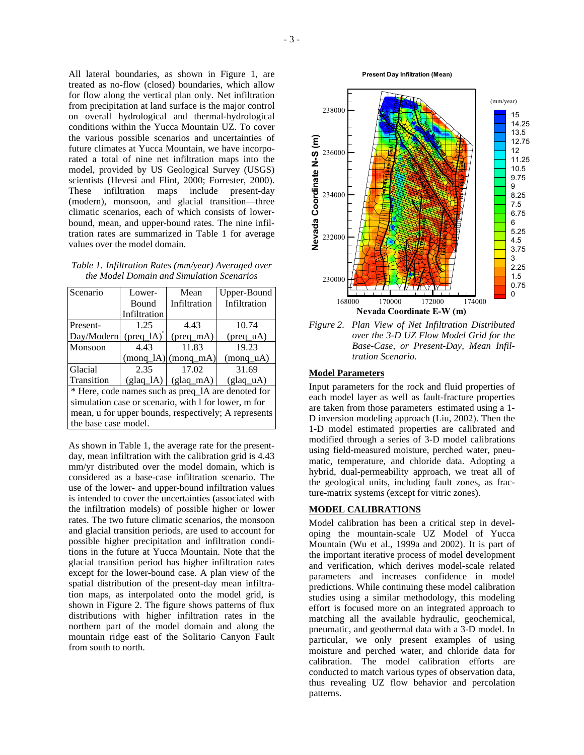All lateral boundaries, as shown in Figure 1, are treated as no-flow (closed) boundaries, which allow for flow along the vertical plan only. Net infiltration from precipitation at land surface is the major control on overall hydrological and thermal-hydrological conditions within the Yucca Mountain UZ. To cover the various possible scenarios and uncertainties of future climates at Yucca Mountain, we have incorporated a total of nine net infiltration maps into the model, provided by US Geological Survey (USGS) scientists (Hevesi and Flint, 2000; Forrester, 2000). These infiltration maps include present-day (modern), monsoon, and glacial transition—three climatic scenarios, each of which consists of lowerbound, mean, and upper-bound rates. The nine infiltration rates are summarized in Table 1 for average values over the model domain.

| Table 1. Infiltration Rates (mm/year) Averaged over |
|-----------------------------------------------------|
| the Model Domain and Simulation Scenarios           |

| Scenario                                             | Lower-              | Mean                  | Upper-Bound                  |  |
|------------------------------------------------------|---------------------|-----------------------|------------------------------|--|
|                                                      | <b>Bound</b>        | Infiltration          | Infiltration                 |  |
|                                                      | Infiltration        |                       |                              |  |
| Present-                                             | 1.25                | 4.43                  | 10.74                        |  |
| Day/Modern                                           | $(\text{preq}\_lA)$ | $(\text{preq m})$     | $(\text{preq}_\mathbf{u} A)$ |  |
| Monsoon                                              | 4.43                | 11.83                 | 19.23                        |  |
|                                                      | $(monq_lA)$         | (monq <sub>m</sub> A) | (monq uA)                    |  |
| Glacial                                              | 2.35                | 17.02                 | 31.69                        |  |
| Transition                                           | $(glaq_lA)$         | $(glaq_mA)$           | (glaq uA)                    |  |
| * Here, code names such as preq_1A are denoted for   |                     |                       |                              |  |
| simulation case or scenario, with 1 for lower, m for |                     |                       |                              |  |
| mean, u for upper bounds, respectively; A represents |                     |                       |                              |  |
| the base case model.                                 |                     |                       |                              |  |

As shown in Table 1, the average rate for the presentday, mean infiltration with the calibration grid is 4.43 mm/yr distributed over the model domain, which is considered as a base-case infiltration scenario. The use of the lower- and upper-bound infiltration values is intended to cover the uncertainties (associated with the infiltration models) of possible higher or lower rates. The two future climatic scenarios, the monsoon and glacial transition periods, are used to account for possible higher precipitation and infiltration conditions in the future at Yucca Mountain. Note that the glacial transition period has higher infiltration rates except for the lower-bound case. A plan view of the spatial distribution of the present-day mean infiltration maps, as interpolated onto the model grid, is shown in Figure 2. The figure shows patterns of flux distributions with higher infiltration rates in the northern part of the model domain and along the mountain ridge east of the Solitario Canyon Fault from south to north.

**Present Day Infiltration (Mean)**



## **Model Parameters**

Input parameters for the rock and fluid properties of each model layer as well as fault-fracture properties are taken from those parameters estimated using a 1- D inversion modeling approach (Liu, 2002). Then the 1-D model estimated properties are calibrated and modified through a series of 3-D model calibrations using field-measured moisture, perched water, pneumatic, temperature, and chloride data. Adopting a hybrid, dual-permeability approach, we treat all of the geological units, including fault zones, as fracture-matrix systems (except for vitric zones).

## **MODEL CALIBRATIONS**

Model calibration has been a critical step in developing the mountain-scale UZ Model of Yucca Mountain (Wu et al., 1999a and 2002). It is part of the important iterative process of model development and verification, which derives model-scale related parameters and increases confidence in model predictions. While continuing these model calibration studies using a similar methodology, this modeling effort is focused more on an integrated approach to matching all the available hydraulic, geochemical, pneumatic, and geothermal data with a 3-D model. In particular, we only present examples of using moisture and perched water, and chloride data for calibration. The model calibration efforts are conducted to match various types of observation data, thus revealing UZ flow behavior and percolation patterns.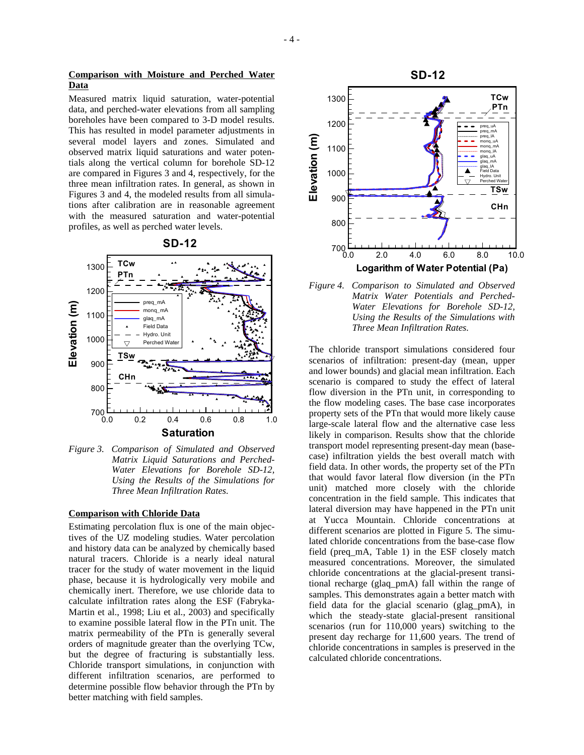## **Comparison with Moisture and Perched Water Data**

Measured matrix liquid saturation, water-potential data, and perched-water elevations from all sampling boreholes have been compared to 3-D model results. This has resulted in model parameter adjustments in several model layers and zones. Simulated and observed matrix liquid saturations and water potentials along the vertical column for borehole SD-12 are compared in Figures 3 and 4, respectively, for the three mean infiltration rates. In general, as shown in Figures 3 and 4, the modeled results from all simulations after calibration are in reasonable agreement with the measured saturation and water-potential profiles, as well as perched water levels.





*Figure 3. Comparison of Simulated and Observed Matrix Liquid Saturations and Perched-Water Elevations for Borehole SD-12, Using the Results of the Simulations for Three Mean Infiltration Rates.* 

# **Comparison with Chloride Data**

Estimating percolation flux is one of the main objectives of the UZ modeling studies. Water percolation and history data can be analyzed by chemically based natural tracers. Chloride is a nearly ideal natural tracer for the study of water movement in the liquid phase, because it is hydrologically very mobile and chemically inert. Therefore, we use chloride data to calculate infiltration rates along the ESF (Fabryka-Martin et al., 1998; Liu et al., 2003) and specifically to examine possible lateral flow in the PTn unit. The matrix permeability of the PTn is generally several orders of magnitude greater than the overlying TCw, but the degree of fracturing is substantially less. Chloride transport simulations, in conjunction with different infiltration scenarios, are performed to determine possible flow behavior through the PTn by better matching with field samples.



*Figure 4. Comparison to Simulated and Observed Matrix Water Potentials and Perched-Water Elevations for Borehole SD-12, Using the Results of the Simulations with Three Mean Infiltration Rates.* 

The chloride transport simulations considered four scenarios of infiltration: present-day (mean, upper and lower bounds) and glacial mean infiltration. Each scenario is compared to study the effect of lateral flow diversion in the PTn unit, in corresponding to the flow modeling cases. The base case incorporates property sets of the PTn that would more likely cause large-scale lateral flow and the alternative case less likely in comparison. Results show that the chloride transport model representing present-day mean (basecase) infiltration yields the best overall match with field data. In other words, the property set of the PTn that would favor lateral flow diversion (in the PTn unit) matched more closely with the chloride concentration in the field sample. This indicates that lateral diversion may have happened in the PTn unit at Yucca Mountain. Chloride concentrations at different scenarios are plotted in Figure 5. The simulated chloride concentrations from the base-case flow field (preq\_mA, Table 1) in the ESF closely match measured concentrations. Moreover, the simulated chloride concentrations at the glacial-present transitional recharge (glaq\_pmA) fall within the range of samples. This demonstrates again a better match with field data for the glacial scenario (glag\_pmA), in which the steady-state glacial-present ransitional scenarios (run for 110,000 years) switching to the present day recharge for 11,600 years. The trend of chloride concentrations in samples is preserved in the calculated chloride concentrations.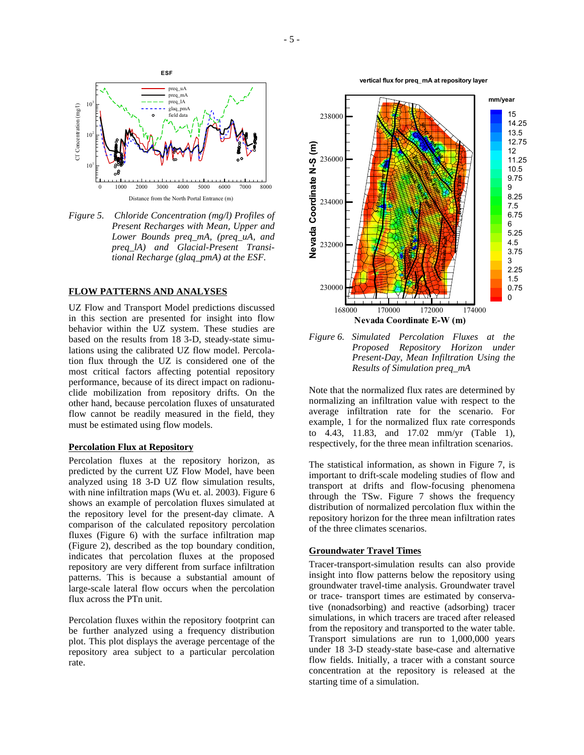

*Figure 5. Chloride Concentration (mg/l) Profiles of Present Recharges with Mean, Upper and Lower Bounds preq\_mA, (preq\_uA, and preq\_lA) and Glacial-Present Transitional Recharge (glaq\_pmA) at the ESF.* 

#### **FLOW PATTERNS AND ANALYSES**

UZ Flow and Transport Model predictions discussed in this section are presented for insight into flow behavior within the UZ system. These studies are based on the results from 18 3-D, steady-state simulations using the calibrated UZ flow model. Percolation flux through the UZ is considered one of the most critical factors affecting potential repository performance, because of its direct impact on radionuclide mobilization from repository drifts. On the other hand, because percolation fluxes of unsaturated flow cannot be readily measured in the field, they must be estimated using flow models.

#### **Percolation Flux at Repository**

Percolation fluxes at the repository horizon, as predicted by the current UZ Flow Model, have been analyzed using 18 3-D UZ flow simulation results, with nine infiltration maps (Wu et. al. 2003). Figure 6 shows an example of percolation fluxes simulated at the repository level for the present-day climate. A comparison of the calculated repository percolation fluxes (Figure 6) with the surface infiltration map (Figure 2), described as the top boundary condition, indicates that percolation fluxes at the proposed repository are very different from surface infiltration patterns. This is because a substantial amount of large-scale lateral flow occurs when the percolation flux across the PTn unit.

Percolation fluxes within the repository footprint can be further analyzed using a frequency distribution plot. This plot displays the average percentage of the repository area subject to a particular percolation rate.

**vertical flux for preq\_mA at repository layer**



*Figure 6. Simulated Percolation Fluxes at the Proposed Repository Horizon under Present-Day, Mean Infiltration Using the Results of Simulation preq\_mA* 

Note that the normalized flux rates are determined by normalizing an infiltration value with respect to the average infiltration rate for the scenario. For example, 1 for the normalized flux rate corresponds to 4.43, 11.83, and 17.02 mm/yr (Table 1), respectively, for the three mean infiltration scenarios.

The statistical information, as shown in Figure 7, is important to drift-scale modeling studies of flow and transport at drifts and flow-focusing phenomena through the TSw. Figure 7 shows the frequency distribution of normalized percolation flux within the repository horizon for the three mean infiltration rates of the three climates scenarios.

#### **Groundwater Travel Times**

Tracer-transport-simulation results can also provide insight into flow patterns below the repository using groundwater travel-time analysis. Groundwater travel or trace- transport times are estimated by conservative (nonadsorbing) and reactive (adsorbing) tracer simulations, in which tracers are traced after released from the repository and transported to the water table. Transport simulations are run to 1,000,000 years under 18 3-D steady-state base-case and alternative flow fields. Initially, a tracer with a constant source concentration at the repository is released at the starting time of a simulation.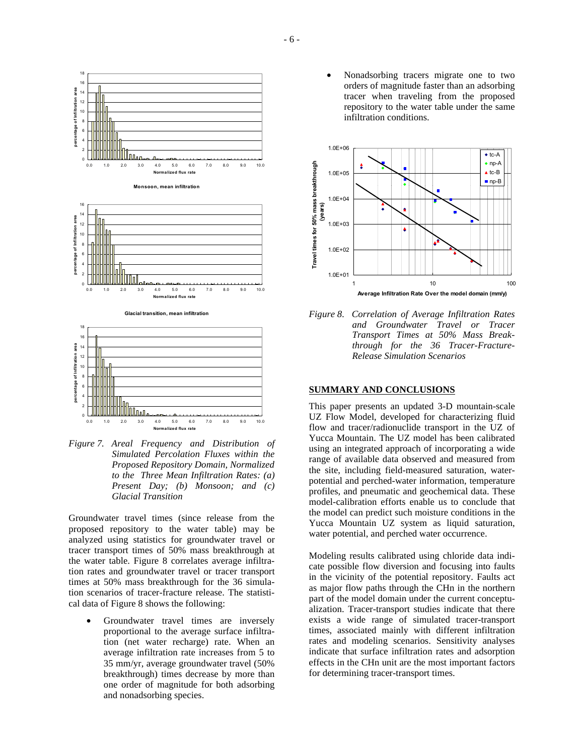

*Figure 7. Areal Frequency and Distribution of Simulated Percolation Fluxes within the Proposed Repository Domain, Normalized to the Three Mean Infiltration Rates: (a) Present Day; (b) Monsoon; and (c) Glacial Transition* 

Groundwater travel times (since release from the proposed repository to the water table) may be analyzed using statistics for groundwater travel or tracer transport times of 50% mass breakthrough at the water table. Figure 8 correlates average infiltration rates and groundwater travel or tracer transport times at 50% mass breakthrough for the 36 simulation scenarios of tracer-fracture release. The statistical data of Figure 8 shows the following:

Groundwater travel times are inversely proportional to the average surface infiltration (net water recharge) rate. When an average infiltration rate increases from 5 to 35 mm/yr, average groundwater travel (50% breakthrough) times decrease by more than one order of magnitude for both adsorbing and nonadsorbing species.

• Nonadsorbing tracers migrate one to two orders of magnitude faster than an adsorbing tracer when traveling from the proposed repository to the water table under the same infiltration conditions.



*Figure 8. Correlation of Average Infiltration Rates and Groundwater Travel or Tracer Transport Times at 50% Mass Breakthrough for the 36 Tracer-Fracture-Release Simulation Scenarios* 

#### **SUMMARY AND CONCLUSIONS**

This paper presents an updated 3-D mountain-scale UZ Flow Model, developed for characterizing fluid flow and tracer/radionuclide transport in the UZ of Yucca Mountain. The UZ model has been calibrated using an integrated approach of incorporating a wide range of available data observed and measured from the site, including field-measured saturation, waterpotential and perched-water information, temperature profiles, and pneumatic and geochemical data. These model-calibration efforts enable us to conclude that the model can predict such moisture conditions in the Yucca Mountain UZ system as liquid saturation, water potential, and perched water occurrence.

Modeling results calibrated using chloride data indicate possible flow diversion and focusing into faults in the vicinity of the potential repository. Faults act as major flow paths through the CHn in the northern part of the model domain under the current conceptualization. Tracer-transport studies indicate that there exists a wide range of simulated tracer-transport times, associated mainly with different infiltration rates and modeling scenarios. Sensitivity analyses indicate that surface infiltration rates and adsorption effects in the CHn unit are the most important factors for determining tracer-transport times.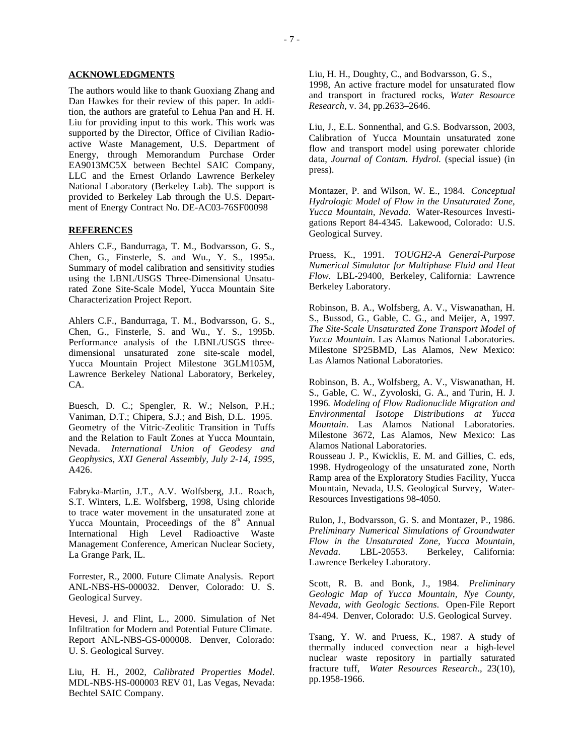#### **ACKNOWLEDGMENTS**

The authors would like to thank Guoxiang Zhang and Dan Hawkes for their review of this paper. In addition, the authors are grateful to Lehua Pan and H. H. Liu for providing input to this work. This work was supported by the Director, Office of Civilian Radioactive Waste Management, U.S. Department of Energy, through Memorandum Purchase Order EA9013MC5X between Bechtel SAIC Company, LLC and the Ernest Orlando Lawrence Berkeley National Laboratory (Berkeley Lab). The support is provided to Berkeley Lab through the U.S. Department of Energy Contract No. DE-AC03-76SF00098

## **REFERENCES**

Ahlers C.F., Bandurraga, T. M., Bodvarsson, G. S., Chen, G., Finsterle, S. and Wu., Y. S., 1995a. Summary of model calibration and sensitivity studies using the LBNL/USGS Three-Dimensional Unsaturated Zone Site-Scale Model, Yucca Mountain Site Characterization Project Report.

Ahlers C.F., Bandurraga, T. M., Bodvarsson, G. S., Chen, G., Finsterle, S. and Wu., Y. S., 1995b. Performance analysis of the LBNL/USGS threedimensional unsaturated zone site-scale model, Yucca Mountain Project Milestone 3GLM105M, Lawrence Berkeley National Laboratory, Berkeley, CA.

Buesch, D. C.; Spengler, R. W.; Nelson, P.H.; Vaniman, D.T.; Chipera, S.J.; and Bish, D.L. 1995. Geometry of the Vitric-Zeolitic Transition in Tuffs and the Relation to Fault Zones at Yucca Mountain, Nevada. *International Union of Geodesy and Geophysics, XXI General Assembly, July 2-14, 1995*, A426.

Fabryka-Martin, J.T., A.V. Wolfsberg, J.L. Roach, S.T. Winters, L.E. Wolfsberg, 1998, Using chloride to trace water movement in the unsaturated zone at Yucca Mountain, Proceedings of the  $8<sup>th</sup>$  Annual International High Level Radioactive Waste Management Conference, American Nuclear Society, La Grange Park, IL.

Forrester, R., 2000. Future Climate Analysis. Report ANL-NBS-HS-000032. Denver, Colorado: U. S. Geological Survey.

Hevesi, J. and Flint, L., 2000. Simulation of Net Infiltration for Modern and Potential Future Climate. Report ANL-NBS-GS-000008. Denver, Colorado: U. S. Geological Survey.

Liu, H. H., 2002, *Calibrated Properties Model*. MDL-NBS-HS-000003 REV 01, Las Vegas, Nevada: Bechtel SAIC Company.

Liu, H. H., Doughty, C., and Bodvarsson, G. S., 1998, An active fracture model for unsaturated flow and transport in fractured rocks, *Water Resource Research*, v. 34, pp.2633–2646.

Liu, J., E.L. Sonnenthal, and G.S. Bodvarsson, 2003, Calibration of Yucca Mountain unsaturated zone flow and transport model using porewater chloride data, *Journal of Contam. Hydrol.* (special issue) (in press).

Montazer, P. and Wilson, W. E., 1984. *Conceptual Hydrologic Model of Flow in the Unsaturated Zone, Yucca Mountain, Nevada*. Water-Resources Investigations Report 84-4345. Lakewood, Colorado: U.S. Geological Survey.

Pruess, K., 1991. *TOUGH2-A General-Purpose Numerical Simulator for Multiphase Fluid and Heat Flow.* LBL-29400, Berkeley, California: Lawrence Berkeley Laboratory.

Robinson, B. A., Wolfsberg, A. V., Viswanathan, H. S., Bussod, G., Gable, C. G., and Meijer, A, 1997*. The Site-Scale Unsaturated Zone Transport Model of Yucca Mountain*. Las Alamos National Laboratories. Milestone SP25BMD, Las Alamos, New Mexico: Las Alamos National Laboratories.

Robinson, B. A., Wolfsberg, A. V., Viswanathan, H. S., Gable, C. W., Zyvoloski, G. A., and Turin, H. J. 1996*. Modeling of Flow Radionuclide Migration and Environmental Isotope Distributions at Yucca Mountain*. Las Alamos National Laboratories. Milestone 3672, Las Alamos, New Mexico: Las Alamos National Laboratories.

Rousseau J. P., Kwicklis, E. M. and Gillies, C. eds, 1998. Hydrogeology of the unsaturated zone, North Ramp area of the Exploratory Studies Facility, Yucca Mountain, Nevada, U.S. Geological Survey, Water-Resources Investigations 98-4050.

Rulon, J., Bodvarsson, G. S. and Montazer, P., 1986. *Preliminary Numerical Simulations of Groundwater Flow in the Unsaturated Zone, Yucca Mountain, Nevada*. LBL-20553. Berkeley, California: Lawrence Berkeley Laboratory.

Scott, R. B. and Bonk, J., 1984. *Preliminary Geologic Map of Yucca Mountain, Nye County, Nevada, with Geologic Sections*. Open-File Report 84-494. Denver, Colorado: U.S. Geological Survey.

Tsang, Y. W. and Pruess, K., 1987. A study of thermally induced convection near a high-level nuclear waste repository in partially saturated fracture tuff, *Water Resources Research*., 23(10), pp.1958-1966.